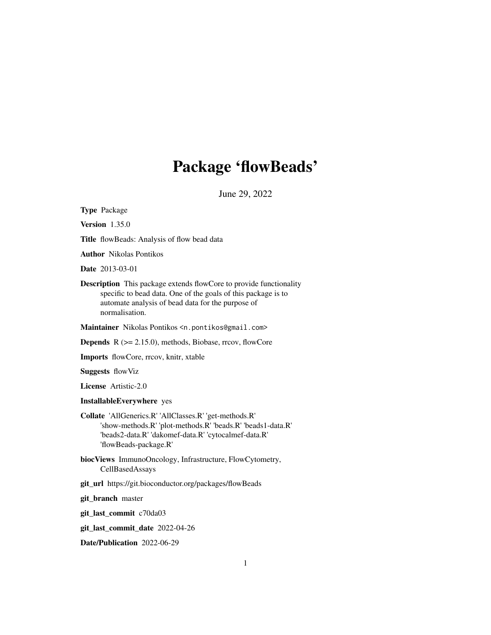# Package 'flowBeads'

June 29, 2022

<span id="page-0-0"></span>Type Package

Version 1.35.0

Title flowBeads: Analysis of flow bead data

Author Nikolas Pontikos

Date 2013-03-01

Description This package extends flowCore to provide functionality specific to bead data. One of the goals of this package is to automate analysis of bead data for the purpose of normalisation.

Maintainer Nikolas Pontikos <n.pontikos@gmail.com>

**Depends**  $R$  ( $>= 2.15.0$ ), methods, Biobase, rrcov, flowCore

Imports flowCore, rrcov, knitr, xtable

Suggests flowViz

License Artistic-2.0

## InstallableEverywhere yes

- Collate 'AllGenerics.R' 'AllClasses.R' 'get-methods.R' 'show-methods.R' 'plot-methods.R' 'beads.R' 'beads1-data.R' 'beads2-data.R' 'dakomef-data.R' 'cytocalmef-data.R' 'flowBeads-package.R'
- biocViews ImmunoOncology, Infrastructure, FlowCytometry, CellBasedAssays
- git\_url https://git.bioconductor.org/packages/flowBeads

git\_branch master

git\_last\_commit c70da03

git\_last\_commit\_date 2022-04-26

Date/Publication 2022-06-29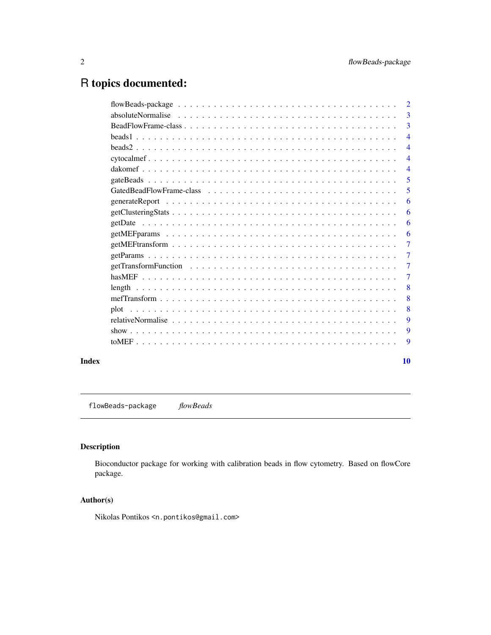## <span id="page-1-0"></span>R topics documented:

| $\overline{2}$ |
|----------------|
| 3              |
| 3              |
| 4              |
| 4              |
| 4              |
| 4              |
| 5              |
| 5              |
| 6              |
| 6              |
| 6              |
| 6              |
| 7              |
| 7              |
| 7              |
| 7              |
| 8              |
| 8              |
| 8              |
| 9              |
| 9              |
| 9              |
|                |

#### $\blacksquare$

flowBeads-package *flowBeads*

## Description

Bioconductor package for working with calibration beads in flow cytometry. Based on flowCore package.

## Author(s)

Nikolas Pontikos <n.pontikos@gmail.com>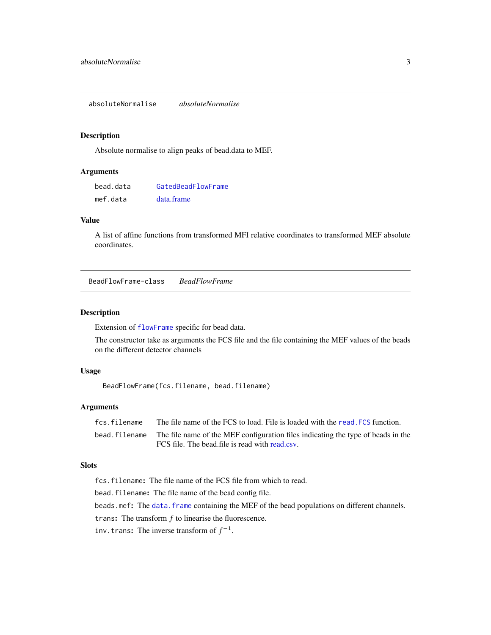<span id="page-2-0"></span>absoluteNormalise *absoluteNormalise*

#### Description

Absolute normalise to align peaks of bead.data to MEF.

## Arguments

| bead.data | GatedBeadFlowFrame |
|-----------|--------------------|
| mef.data  | data.frame         |

### Value

A list of affine functions from transformed MFI relative coordinates to transformed MEF absolute coordinates.

BeadFlowFrame-class *BeadFlowFrame*

#### <span id="page-2-1"></span>Description

Extension of [flowFrame](#page-0-0) specific for bead data.

The constructor take as arguments the FCS file and the file containing the MEF values of the beads on the different detector channels

## Usage

BeadFlowFrame(fcs.filename, bead.filename)

#### Arguments

| fcs.filename  | The file name of the FCS to load. File is loaded with the read. FCS function.    |
|---------------|----------------------------------------------------------------------------------|
| bead.filename | The file name of the MEF configuration files indicating the type of beads in the |
|               | FCS file. The bead file is read with read csv.                                   |

#### Slots

fcs.filename: The file name of the FCS file from which to read. bead.filename: The file name of the bead config file. beads.mef: The [data.frame](#page-0-0) containing the MEF of the bead populations on different channels. trans: The transform  $f$  to linearise the fluorescence. inv.trans: The inverse transform of  $f^{-1}$ .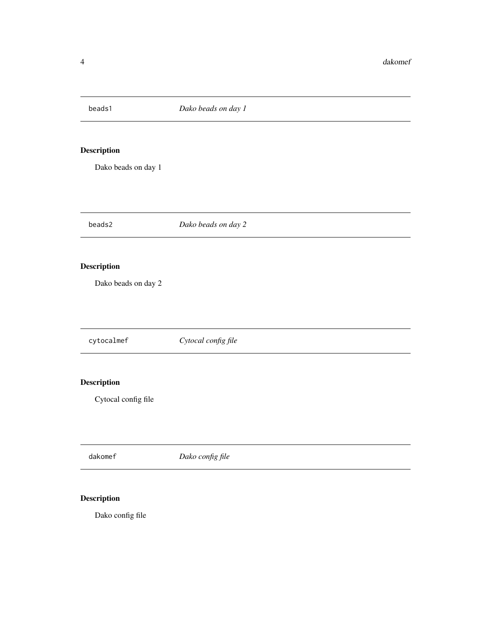<span id="page-3-0"></span>

## Description

Dako beads on day 1

beads2 *Dako beads on day 2*

## Description

Dako beads on day 2

cytocalmef *Cytocal config file*

## Description

Cytocal config file

dakomef *Dako config file*

## Description

Dako config file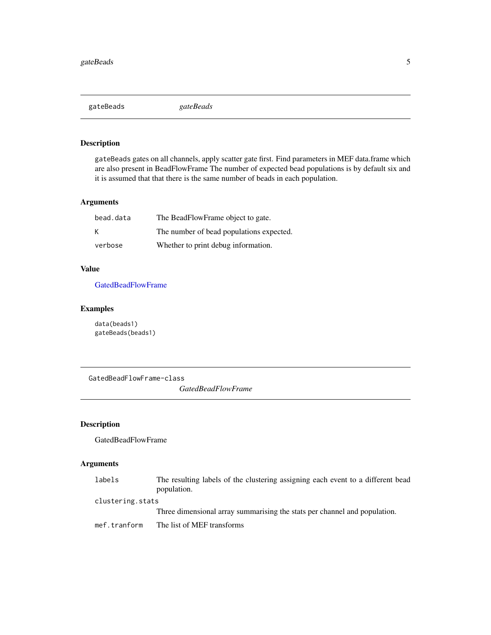<span id="page-4-0"></span>gateBeads *gateBeads*

#### Description

gateBeads gates on all channels, apply scatter gate first. Find parameters in MEF data.frame which are also present in BeadFlowFrame The number of expected bead populations is by default six and it is assumed that that there is the same number of beads in each population.

## Arguments

| bead.data | The BeadFlowFrame object to gate.        |
|-----------|------------------------------------------|
| K         | The number of bead populations expected. |
| verbose   | Whether to print debug information.      |

## Value

[GatedBeadFlowFrame](#page-4-1)

## Examples

data(beads1) gateBeads(beads1)

<span id="page-4-1"></span>GatedBeadFlowFrame-class

*GatedBeadFlowFrame*

## Description

GatedBeadFlowFrame

## Arguments

| labels           | The resulting labels of the clustering assigning each event to a different bead |
|------------------|---------------------------------------------------------------------------------|
|                  | population.                                                                     |
| clustering.stats |                                                                                 |
|                  | Three dimensional array summarising the stats per channel and population.       |

mef.tranform The list of MEF transforms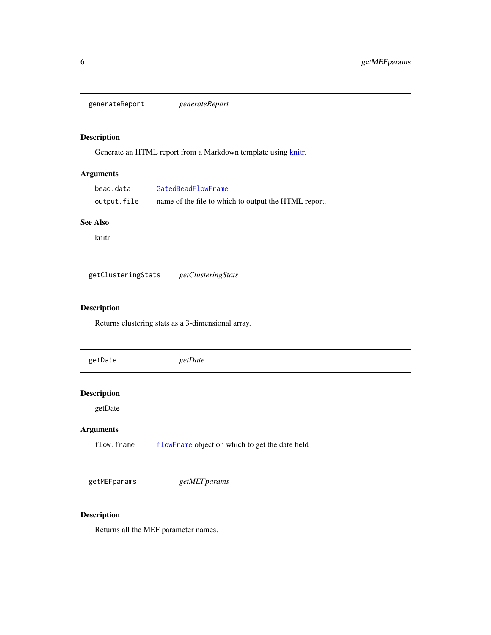<span id="page-5-0"></span>generateReport *generateReport*

## Description

Generate an HTML report from a Markdown template using [knitr.](#page-0-0)

## Arguments

| bead.data   | GatedBeadFlowFrame                                   |
|-------------|------------------------------------------------------|
| output.file | name of the file to which to output the HTML report. |

#### See Also

knitr

getClusteringStats *getClusteringStats*

## Description

Returns clustering stats as a 3-dimensional array.

| getDate            | getDate                                         |  |
|--------------------|-------------------------------------------------|--|
|                    |                                                 |  |
| <b>Description</b> |                                                 |  |
| getDate            |                                                 |  |
| <b>Arguments</b>   |                                                 |  |
| flow.frame         | flowFrame object on which to get the date field |  |
|                    |                                                 |  |
| getMEFparams       | getMEFparams                                    |  |

## Description

Returns all the MEF parameter names.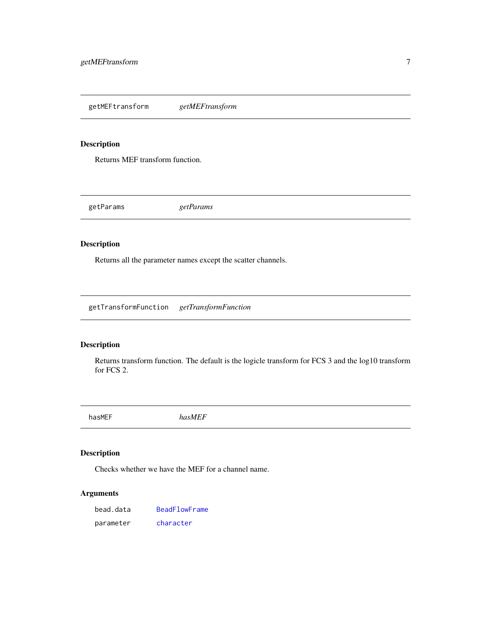<span id="page-6-0"></span>getMEFtransform *getMEFtransform*

## Description

Returns MEF transform function.

getParams *getParams*

## Description

Returns all the parameter names except the scatter channels.

getTransformFunction *getTransformFunction*

## Description

Returns transform function. The default is the logicle transform for FCS 3 and the log10 transform for FCS 2.

hasMEF *hasMEF*

## Description

Checks whether we have the MEF for a channel name.

## Arguments

| bead.data | BeadFlowFrame |
|-----------|---------------|
| parameter | character     |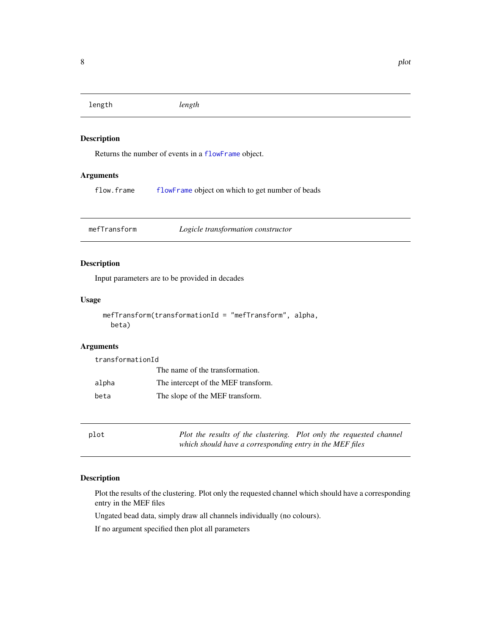<span id="page-7-0"></span>length *length*

#### Description

Returns the number of events in a [flowFrame](#page-0-0) object.

#### Arguments

flow.frame [flowFrame](#page-0-0) object on which to get number of beads

mefTransform *Logicle transformation constructor*

## Description

Input parameters are to be provided in decades

#### Usage

```
mefTransform(transformationId = "mefTransform", alpha,
beta)
```
## Arguments

transformationId The name of the transformation. alpha The intercept of the MEF transform. beta The slope of the MEF transform.

plot *Plot the results of the clustering. Plot only the requested channel which should have a corresponding entry in the MEF files*

#### Description

Plot the results of the clustering. Plot only the requested channel which should have a corresponding entry in the MEF files

Ungated bead data, simply draw all channels individually (no colours).

If no argument specified then plot all parameters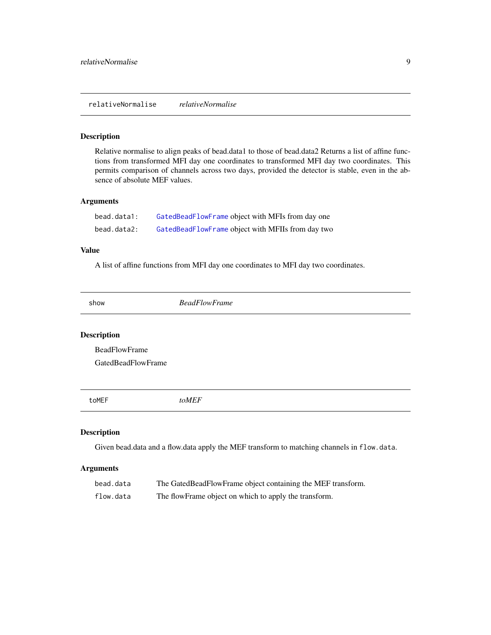<span id="page-8-0"></span>relativeNormalise *relativeNormalise*

## Description

Relative normalise to align peaks of bead.data1 to those of bead.data2 Returns a list of affine functions from transformed MFI day one coordinates to transformed MFI day two coordinates. This permits comparison of channels across two days, provided the detector is stable, even in the absence of absolute MEF values.

#### Arguments

| bead.data1: | GatedBeadFlowFrame object with MFIs from day one  |
|-------------|---------------------------------------------------|
| bead.data2: | GatedBeadFlowFrame object with MFIIs from day two |

#### Value

A list of affine functions from MFI day one coordinates to MFI day two coordinates.

show *BeadFlowFrame*

## Description

BeadFlowFrame

GatedBeadFlowFrame

toMEF *toMEF*

## Description

Given bead.data and a flow.data apply the MEF transform to matching channels in flow.data.

#### Arguments

| bead.data | The GatedBeadFlowFrame object containing the MEF transform. |
|-----------|-------------------------------------------------------------|
| flow.data | The flowFrame object on which to apply the transform.       |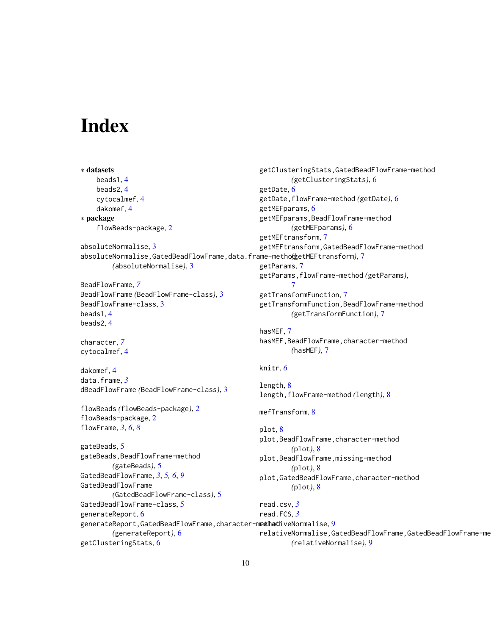# <span id="page-9-0"></span>Index

∗ datasets beads1, [4](#page-3-0) beads2, [4](#page-3-0) cytocalmef, [4](#page-3-0) dakomef, [4](#page-3-0) ∗ package flowBeads-package, [2](#page-1-0) absoluteNormalise, [3](#page-2-0) absoluteNormalise,GatedBeadFlowFrame,data.frame-method *(*getMEFtransform*)*, [7](#page-6-0) *(*absoluteNormalise*)*, [3](#page-2-0) BeadFlowFrame, *[7](#page-6-0)* BeadFlowFrame *(*BeadFlowFrame-class*)*, [3](#page-2-0) BeadFlowFrame-class, [3](#page-2-0) beads1, [4](#page-3-0) beads2, [4](#page-3-0) character, *[7](#page-6-0)* cytocalmef, [4](#page-3-0) dakomef, [4](#page-3-0) data.frame, *[3](#page-2-0)* dBeadFlowFrame *(*BeadFlowFrame-class*)*, [3](#page-2-0) flowBeads *(*flowBeads-package*)*, [2](#page-1-0) flowBeads-package, [2](#page-1-0) flowFrame, *[3](#page-2-0)*, *[6](#page-5-0)*, *[8](#page-7-0)* gateBeads, [5](#page-4-0) gateBeads,BeadFlowFrame-method *(*gateBeads*)*, [5](#page-4-0) GatedBeadFlowFrame, *[3](#page-2-0)*, *[5,](#page-4-0) [6](#page-5-0)*, *[9](#page-8-0)* GatedBeadFlowFrame *(*GatedBeadFlowFrame-class*)*, [5](#page-4-0) GatedBeadFlowFrame-class, [5](#page-4-0) generateReport, [6](#page-5-0) generateReport,GatedBeadFlowFrame,character-m**e∉had**iveNormalise,[9](#page-8-0) *(*generateReport*)*, [6](#page-5-0) getClusteringStats, [6](#page-5-0) getClusteringStats,GatedBeadFlowFrame-method *(*getClusteringStats*)*, [6](#page-5-0) getDate, [6](#page-5-0) getDate,flowFrame-method *(*getDate*)*, [6](#page-5-0) getMEFparams, [6](#page-5-0) getMEFparams,BeadFlowFrame-method *(*getMEFparams*)*, [6](#page-5-0) getMEFtransform, [7](#page-6-0) getMEFtransform,GatedBeadFlowFrame-method getParams, [7](#page-6-0) getParams,flowFrame-method *(*getParams*)*, [7](#page-6-0) getTransformFunction, [7](#page-6-0) getTransformFunction,BeadFlowFrame-method *(*getTransformFunction*)*, [7](#page-6-0) hasMEF, [7](#page-6-0) hasMEF,BeadFlowFrame,character-method *(*hasMEF*)*, [7](#page-6-0) knitr, *[6](#page-5-0)* length, [8](#page-7-0) length,flowFrame-method *(*length*)*, [8](#page-7-0) mefTransform, [8](#page-7-0) plot, [8](#page-7-0) plot,BeadFlowFrame,character-method *(*plot*)*, [8](#page-7-0) plot,BeadFlowFrame,missing-method *(*plot*)*, [8](#page-7-0) plot,GatedBeadFlowFrame,character-method *(*plot*)*, [8](#page-7-0) read.csv, *[3](#page-2-0)* read.FCS, *[3](#page-2-0)* relativeNormalise,GatedBeadFlowFrame,GatedBeadFlowFrame-method *(*relativeNormalise*)*, [9](#page-8-0)